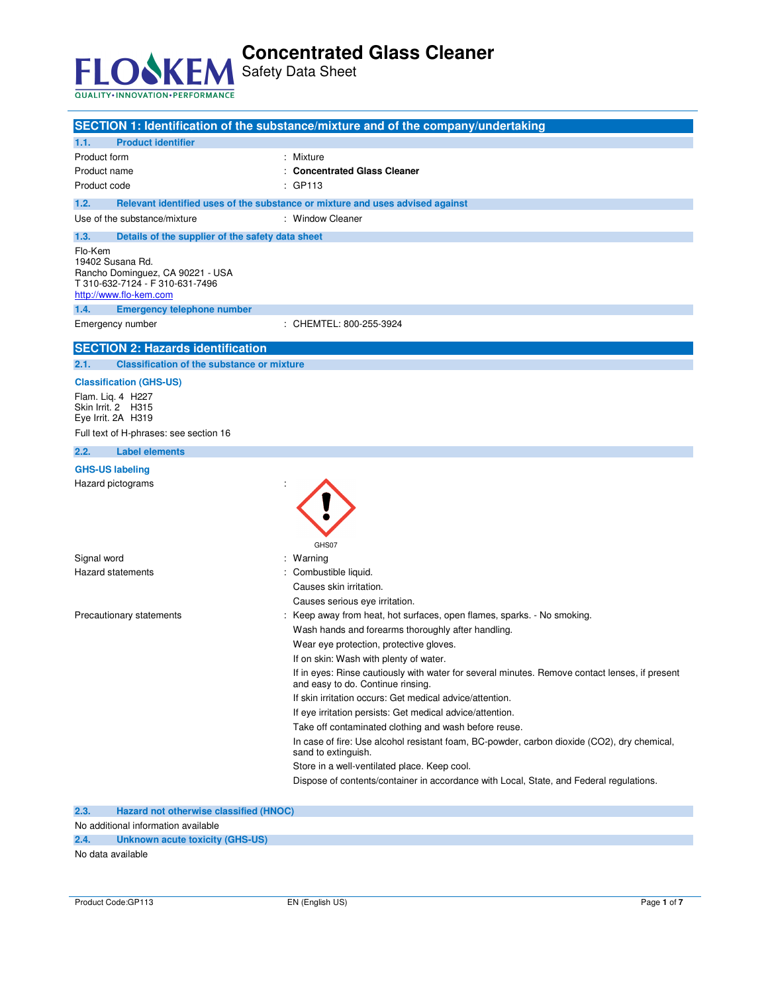

**SECTION 1: Identification of the substance/mixture and of the company/undertaking 1.1. Product identifier**  Product form : Nixture : Mixture Product name **1988** Concentrated Glass Cleaner Product code : GP113 **1.2. Relevant identified uses of the substance or mixture and uses advised against**  Use of the substance/mixture : Window Cleaner **1.3. Details of the supplier of the safety data sheet**  Flo-Kem 19402 Susana Rd. Rancho Dominguez, CA 90221 - USA T 310-632-7124 - F 310-631-7496 http://www.flo-kem.com **1.4. Emergency telephone number**  Emergency number : CHEMTEL: 800-255-3924 **SECTION 2: Hazards identification 2.1. Classification of the substance or mixture Classification (GHS-US)**  Flam. Liq. 4 H227 Skin Irrit. 2 H315 Eye Irrit. 2A H319 Full text of H-phrases: see section 16 **2.2. Label elements GHS-US labeling**  Hazard pictograms : GHS07 Signal word in the set of the set of the set of the set of the set of the set of the set of the set of the set o Hazard statements **in the statements** of the combustible liquid. Causes skin irritation. Causes serious eye irritation. Precautionary statements : Keep away from heat, hot surfaces, open flames, sparks. - No smoking. Wash hands and forearms thoroughly after handling. Wear eye protection, protective gloves. If on skin: Wash with plenty of water. If in eyes: Rinse cautiously with water for several minutes. Remove contact lenses, if present and easy to do. Continue rinsing. If skin irritation occurs: Get medical advice/attention. If eye irritation persists: Get medical advice/attention. Take off contaminated clothing and wash before reuse. In case of fire: Use alcohol resistant foam, BC-powder, carbon dioxide (CO2), dry chemical, sand to extinguish. Store in a well-ventilated place. Keep cool. Dispose of contents/container in accordance with Local, State, and Federal regulations.

**2.3. Hazard not otherwise classified (HNOC)** 

No additional information available

**2.4. Unknown acute toxicity (GHS-US)** 

No data available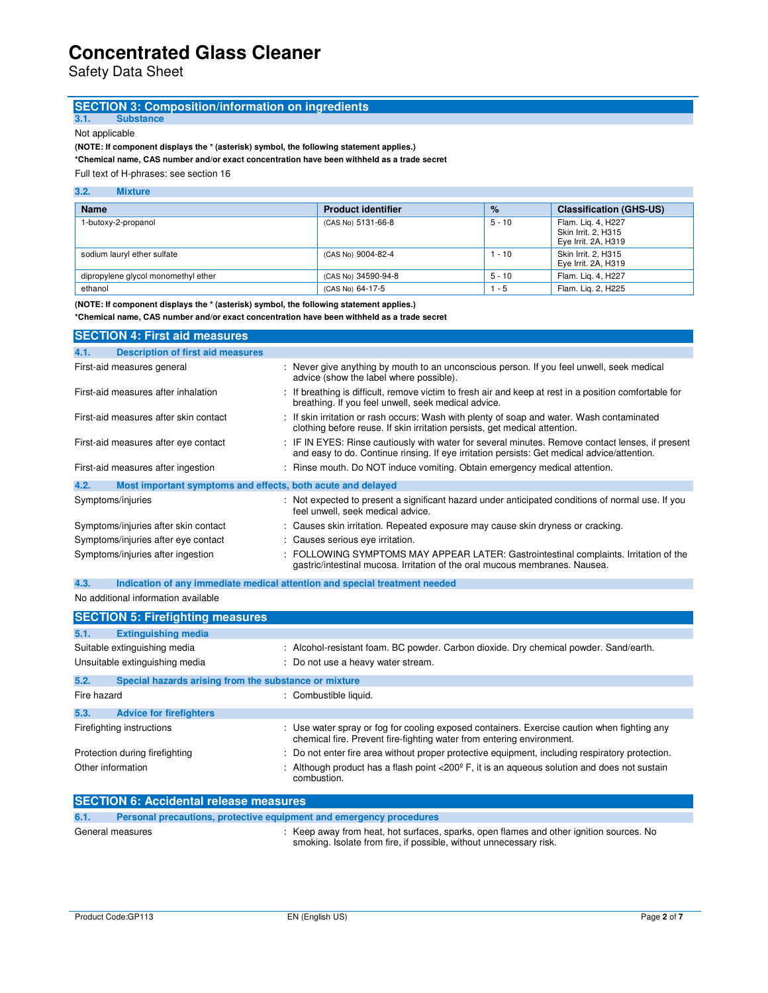Safety Data Sheet

# **SECTION 3: Composition/information on ingredients** 3.1. Substance

**3.1. Substance** 

Not applicable

**(NOTE: If component displays the \* (asterisk) symbol, the following statement applies.)** 

**\*Chemical name, CAS number and/or exact concentration have been withheld as a trade secret** 

Full text of H-phrases: see section 16

### **3.2. Mixture**

| <b>Name</b>                         | <b>Product identifier</b> | $\%$     | <b>Classification (GHS-US)</b>                                   |
|-------------------------------------|---------------------------|----------|------------------------------------------------------------------|
| 1-butoxy-2-propanol                 | (CAS No) 5131-66-8        | $5 - 10$ | Flam. Lig. 4, H227<br>Skin Irrit. 2. H315<br>Eye Irrit. 2A, H319 |
| sodium lauryl ether sulfate         | (CAS No) 9004-82-4        | $-10$    | Skin Irrit. 2. H315<br>Eye Irrit. 2A, H319                       |
| dipropylene glycol monomethyl ether | (CAS No) 34590-94-8       | $5 - 10$ | Flam. Lig. 4, H227                                               |
| ethanol                             | (CAS No) 64-17-5          | - 5      | Flam. Lig. 2, H225                                               |

**(NOTE: If component displays the \* (asterisk) symbol, the following statement applies.)** 

**\*Chemical name, CAS number and/or exact concentration have been withheld as a trade secret**

| <b>SECTION 4: First aid measures</b>                                |                                                                                                                                                                                                 |
|---------------------------------------------------------------------|-------------------------------------------------------------------------------------------------------------------------------------------------------------------------------------------------|
| <b>Description of first aid measures</b><br>4.1.                    |                                                                                                                                                                                                 |
| First-aid measures general                                          | : Never give anything by mouth to an unconscious person. If you feel unwell, seek medical<br>advice (show the label where possible).                                                            |
| First-aid measures after inhalation                                 | : If breathing is difficult, remove victim to fresh air and keep at rest in a position comfortable for<br>breathing. If you feel unwell, seek medical advice.                                   |
| First-aid measures after skin contact                               | : If skin irritation or rash occurs: Wash with plenty of soap and water. Wash contaminated<br>clothing before reuse. If skin irritation persists, get medical attention.                        |
| First-aid measures after eye contact                                | : IF IN EYES: Rinse cautiously with water for several minutes. Remove contact lenses, if present<br>and easy to do. Continue rinsing. If eye irritation persists: Get medical advice/attention. |
| First-aid measures after ingestion                                  | : Rinse mouth. Do NOT induce vomiting. Obtain emergency medical attention.                                                                                                                      |
| 4.2.<br>Most important symptoms and effects, both acute and delayed |                                                                                                                                                                                                 |
| Symptoms/injuries                                                   | : Not expected to present a significant hazard under anticipated conditions of normal use. If you<br>feel unwell, seek medical advice.                                                          |
| Symptoms/injuries after skin contact                                | : Causes skin irritation. Repeated exposure may cause skin dryness or cracking.                                                                                                                 |
| Symptoms/injuries after eye contact                                 | : Causes serious eye irritation.                                                                                                                                                                |
| Symptoms/injuries after ingestion                                   | : FOLLOWING SYMPTOMS MAY APPEAR LATER: Gastrointestinal complaints. Irritation of the<br>gastric/intestinal mucosa. Irritation of the oral mucous membranes. Nausea.                            |

**4.3. Indication of any immediate medical attention and special treatment needed** 

## No additional information available

|                   | <b>SECTION 5: Firefighting measures</b>               |                                                                                                                                                                      |
|-------------------|-------------------------------------------------------|----------------------------------------------------------------------------------------------------------------------------------------------------------------------|
| 5.1.              | <b>Extinguishing media</b>                            |                                                                                                                                                                      |
|                   | Suitable extinguishing media                          | : Alcohol-resistant foam. BC powder. Carbon dioxide. Dry chemical powder. Sand/earth.                                                                                |
|                   | Unsuitable extinguishing media                        | : Do not use a heavy water stream.                                                                                                                                   |
| 5.2.              | Special hazards arising from the substance or mixture |                                                                                                                                                                      |
| Fire hazard       |                                                       | : Combustible liquid.                                                                                                                                                |
| 5.3.              | <b>Advice for firefighters</b>                        |                                                                                                                                                                      |
|                   | Firefighting instructions                             | : Use water spray or fog for cooling exposed containers. Exercise caution when fighting any<br>chemical fire. Prevent fire-fighting water from entering environment. |
|                   | Protection during firefighting                        | : Do not enter fire area without proper protective equipment, including respiratory protection.                                                                      |
| Other information |                                                       | Although product has a flash point $\langle 200^\circ \text{F} \rangle$ , it is an aqueous solution and does not sustain<br>combustion.                              |

| <b>SECTION 6: Accidental release measures</b> |                                                                     |                                                                                                                                                               |
|-----------------------------------------------|---------------------------------------------------------------------|---------------------------------------------------------------------------------------------------------------------------------------------------------------|
| 6.1.                                          | Personal precautions, protective equipment and emergency procedures |                                                                                                                                                               |
|                                               | General measures                                                    | : Keep away from heat, hot surfaces, sparks, open flames and other ignition sources. No<br>smoking. Isolate from fire, if possible, without unnecessary risk. |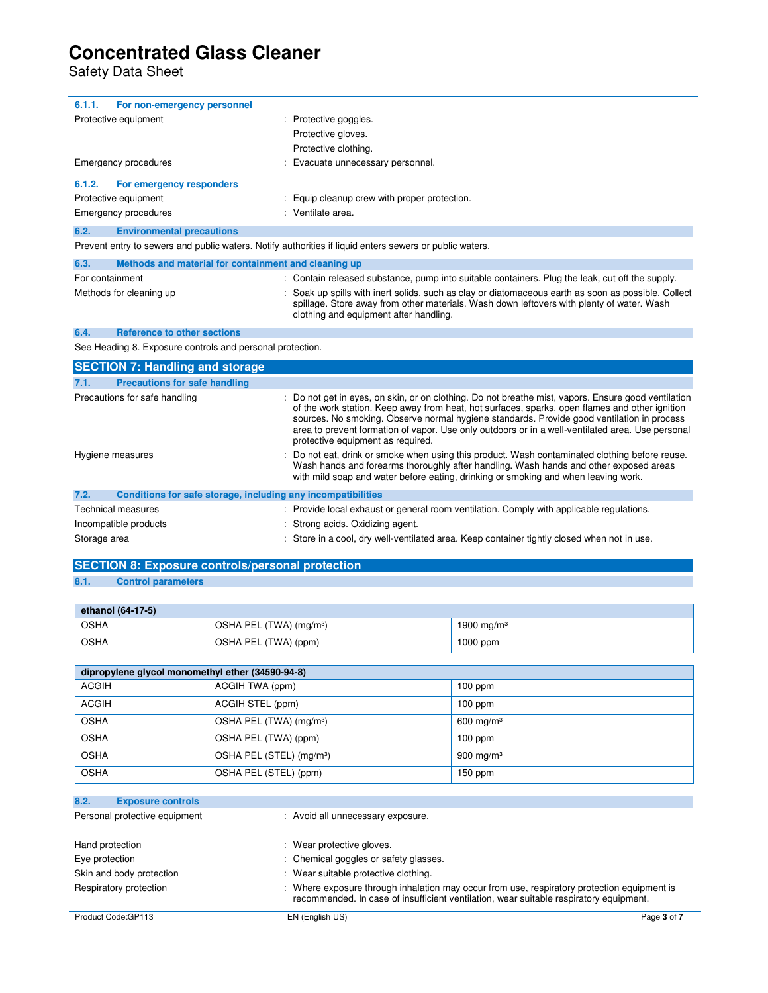Safety Data Sheet

| 6.1.1.<br>For non-emergency personnel                                |                                                                                                                                                                                                                                                                                                                                                                                                                                            |  |
|----------------------------------------------------------------------|--------------------------------------------------------------------------------------------------------------------------------------------------------------------------------------------------------------------------------------------------------------------------------------------------------------------------------------------------------------------------------------------------------------------------------------------|--|
| Protective equipment                                                 | Protective goggles.                                                                                                                                                                                                                                                                                                                                                                                                                        |  |
|                                                                      | Protective gloves.                                                                                                                                                                                                                                                                                                                                                                                                                         |  |
|                                                                      | Protective clothing.                                                                                                                                                                                                                                                                                                                                                                                                                       |  |
| Emergency procedures                                                 | Evacuate unnecessary personnel.                                                                                                                                                                                                                                                                                                                                                                                                            |  |
| 6.1.2.<br>For emergency responders                                   |                                                                                                                                                                                                                                                                                                                                                                                                                                            |  |
| Protective equipment                                                 | Equip cleanup crew with proper protection.                                                                                                                                                                                                                                                                                                                                                                                                 |  |
| Emergency procedures                                                 | : Ventilate area.                                                                                                                                                                                                                                                                                                                                                                                                                          |  |
| 6.2.<br><b>Environmental precautions</b>                             |                                                                                                                                                                                                                                                                                                                                                                                                                                            |  |
|                                                                      | Prevent entry to sewers and public waters. Notify authorities if liquid enters sewers or public waters.                                                                                                                                                                                                                                                                                                                                    |  |
| 6.3.<br>Methods and material for containment and cleaning up         |                                                                                                                                                                                                                                                                                                                                                                                                                                            |  |
| For containment                                                      | : Contain released substance, pump into suitable containers. Plug the leak, cut off the supply.                                                                                                                                                                                                                                                                                                                                            |  |
| Methods for cleaning up                                              | : Soak up spills with inert solids, such as clay or diatomaceous earth as soon as possible. Collect<br>spillage. Store away from other materials. Wash down leftovers with plenty of water. Wash<br>clothing and equipment after handling.                                                                                                                                                                                                 |  |
| <b>Reference to other sections</b><br>6.4.                           |                                                                                                                                                                                                                                                                                                                                                                                                                                            |  |
| See Heading 8. Exposure controls and personal protection.            |                                                                                                                                                                                                                                                                                                                                                                                                                                            |  |
| <b>SECTION 7: Handling and storage</b>                               |                                                                                                                                                                                                                                                                                                                                                                                                                                            |  |
| <b>Precautions for safe handling</b><br>7.1.                         |                                                                                                                                                                                                                                                                                                                                                                                                                                            |  |
| Precautions for safe handling                                        | Do not get in eyes, on skin, or on clothing. Do not breathe mist, vapors. Ensure good ventilation<br>of the work station. Keep away from heat, hot surfaces, sparks, open flames and other ignition<br>sources. No smoking. Observe normal hygiene standards. Provide good ventilation in process<br>area to prevent formation of vapor. Use only outdoors or in a well-ventilated area. Use personal<br>protective equipment as required. |  |
| Hygiene measures                                                     | Do not eat, drink or smoke when using this product. Wash contaminated clothing before reuse.<br>Wash hands and forearms thoroughly after handling. Wash hands and other exposed areas<br>with mild soap and water before eating, drinking or smoking and when leaving work.                                                                                                                                                                |  |
| 7.2.<br>Conditions for safe storage, including any incompatibilities |                                                                                                                                                                                                                                                                                                                                                                                                                                            |  |
| Technical measures                                                   | : Provide local exhaust or general room ventilation. Comply with applicable regulations.                                                                                                                                                                                                                                                                                                                                                   |  |
| Incompatible products                                                | : Strong acids. Oxidizing agent.                                                                                                                                                                                                                                                                                                                                                                                                           |  |
| Storage area                                                         | Store in a cool, dry well-ventilated area. Keep container tightly closed when not in use.                                                                                                                                                                                                                                                                                                                                                  |  |

## **SECTION 8: Exposure controls/personal protection**

## **8.1. Control parameters**

| ethanol (64-17-5) |                                     |               |  |
|-------------------|-------------------------------------|---------------|--|
| OSHA              | OSHA PEL (TWA) (mg/m <sup>3</sup> ) | 1900 mg/m $3$ |  |
| OSHA              | OSHA PEL (TWA) (ppm)                | 1000 ppm      |  |

| dipropylene glycol monomethyl ether (34590-94-8) |                                      |              |  |  |
|--------------------------------------------------|--------------------------------------|--------------|--|--|
| <b>ACGIH</b>                                     | ACGIH TWA (ppm)                      | $100$ ppm    |  |  |
| <b>ACGIH</b>                                     | ACGIH STEL (ppm)                     | $100$ ppm    |  |  |
| <b>OSHA</b>                                      | OSHA PEL (TWA) (mg/m <sup>3</sup> )  | 600 mg/m $3$ |  |  |
| <b>OSHA</b>                                      | OSHA PEL (TWA) (ppm)                 | $100$ ppm    |  |  |
| <b>OSHA</b>                                      | OSHA PEL (STEL) (mg/m <sup>3</sup> ) | 900 mg/m $3$ |  |  |
| <b>OSHA</b>                                      | OSHA PEL (STEL) (ppm)                | $150$ ppm    |  |  |

| 8.2.            | <b>Exposure controls</b>      |                                                                                                                                                                                     |             |
|-----------------|-------------------------------|-------------------------------------------------------------------------------------------------------------------------------------------------------------------------------------|-------------|
|                 | Personal protective equipment | : Avoid all unnecessary exposure.                                                                                                                                                   |             |
| Hand protection |                               | : Wear protective gloves.                                                                                                                                                           |             |
| Eye protection  |                               | : Chemical goggles or safety glasses.                                                                                                                                               |             |
|                 | Skin and body protection      | : Wear suitable protective clothing.                                                                                                                                                |             |
|                 | Respiratory protection        | Where exposure through inhalation may occur from use, respiratory protection equipment is<br>recommended. In case of insufficient ventilation, wear suitable respiratory equipment. |             |
|                 | Product Code: GP113           | EN (English US)                                                                                                                                                                     | Page 3 of 7 |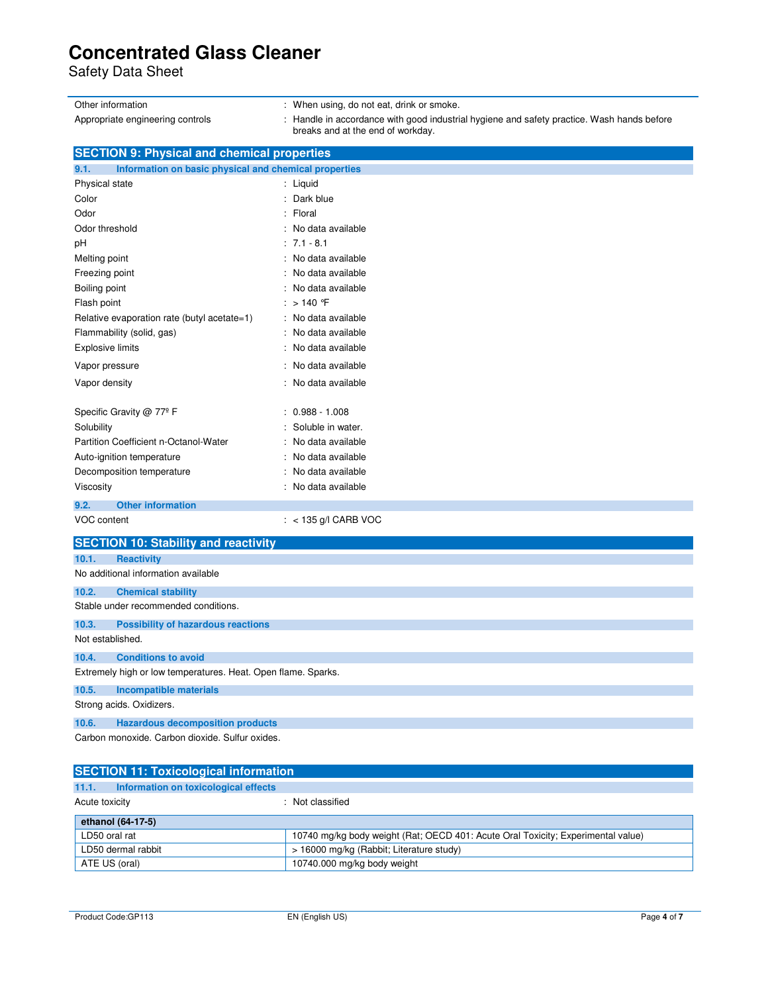Safety Data Sheet

| Other information                                                                                    | When using, do not eat, drink or smoke.                                                                                       |  |
|------------------------------------------------------------------------------------------------------|-------------------------------------------------------------------------------------------------------------------------------|--|
| Appropriate engineering controls                                                                     | Handle in accordance with good industrial hygiene and safety practice. Wash hands before<br>breaks and at the end of workday. |  |
| <b>SECTION 9: Physical and chemical properties</b>                                                   |                                                                                                                               |  |
| Information on basic physical and chemical properties<br>9.1.                                        |                                                                                                                               |  |
| Physical state                                                                                       | : Liquid                                                                                                                      |  |
| Color                                                                                                | : Dark blue                                                                                                                   |  |
| Odor                                                                                                 | : Floral                                                                                                                      |  |
| Odor threshold                                                                                       | : No data available                                                                                                           |  |
| рH                                                                                                   | $: 7.1 - 8.1$                                                                                                                 |  |
| Melting point                                                                                        | : No data available                                                                                                           |  |
| Freezing point                                                                                       | : No data available                                                                                                           |  |
| Boiling point                                                                                        | : No data available                                                                                                           |  |
| Flash point                                                                                          | : $>140$ F                                                                                                                    |  |
| Relative evaporation rate (butyl acetate=1)                                                          | : No data available                                                                                                           |  |
| Flammability (solid, gas)                                                                            | : No data available                                                                                                           |  |
| <b>Explosive limits</b>                                                                              | : No data available                                                                                                           |  |
| Vapor pressure                                                                                       | : No data available                                                                                                           |  |
| Vapor density                                                                                        | : No data available                                                                                                           |  |
| Specific Gravity @ 77º F                                                                             | $0.988 - 1.008$                                                                                                               |  |
| Solubility                                                                                           | Soluble in water.                                                                                                             |  |
| Partition Coefficient n-Octanol-Water                                                                | No data available                                                                                                             |  |
| Auto-ignition temperature                                                                            | : No data available                                                                                                           |  |
| Decomposition temperature                                                                            | No data available                                                                                                             |  |
| Viscosity                                                                                            | : No data available                                                                                                           |  |
| 9.2.<br><b>Other information</b>                                                                     |                                                                                                                               |  |
| VOC content                                                                                          | $:$ < 135 g/l CARB VOC                                                                                                        |  |
| <b>SECTION 10: Stability and reactivity</b>                                                          |                                                                                                                               |  |
| <b>Reactivity</b><br>10.1.                                                                           |                                                                                                                               |  |
| No additional information available                                                                  |                                                                                                                               |  |
| 10.2.<br><b>Chemical stability</b>                                                                   |                                                                                                                               |  |
| Stable under recommended conditions.                                                                 |                                                                                                                               |  |
| 10.3.<br><b>Possibility of hazardous reactions</b><br>Not established.                               |                                                                                                                               |  |
|                                                                                                      |                                                                                                                               |  |
| 10.4.<br><b>Conditions to avoid</b><br>Extremely high or low temperatures. Heat. Open flame. Sparks. |                                                                                                                               |  |
| 10.5.<br><b>Incompatible materials</b>                                                               |                                                                                                                               |  |
| Strong acids. Oxidizers.                                                                             |                                                                                                                               |  |
| 10.6.<br><b>Hazardous decomposition products</b>                                                     |                                                                                                                               |  |
| Carbon monoxide. Carbon dioxide. Sulfur oxides.                                                      |                                                                                                                               |  |
|                                                                                                      |                                                                                                                               |  |
| <b>SECTION 11: Toxicological information</b>                                                         |                                                                                                                               |  |

| 11.1.              | Information on toxicological effects                                             |
|--------------------|----------------------------------------------------------------------------------|
| Acute toxicity     | : Not classified                                                                 |
| ethanol (64-17-5)  |                                                                                  |
| LD50 oral rat      | 10740 mg/kg body weight (Rat; OECD 401: Acute Oral Toxicity; Experimental value) |
| LD50 dermal rabbit | > 16000 mg/kg (Rabbit; Literature study)                                         |
| ATE US (oral)      | 10740.000 mg/kg body weight                                                      |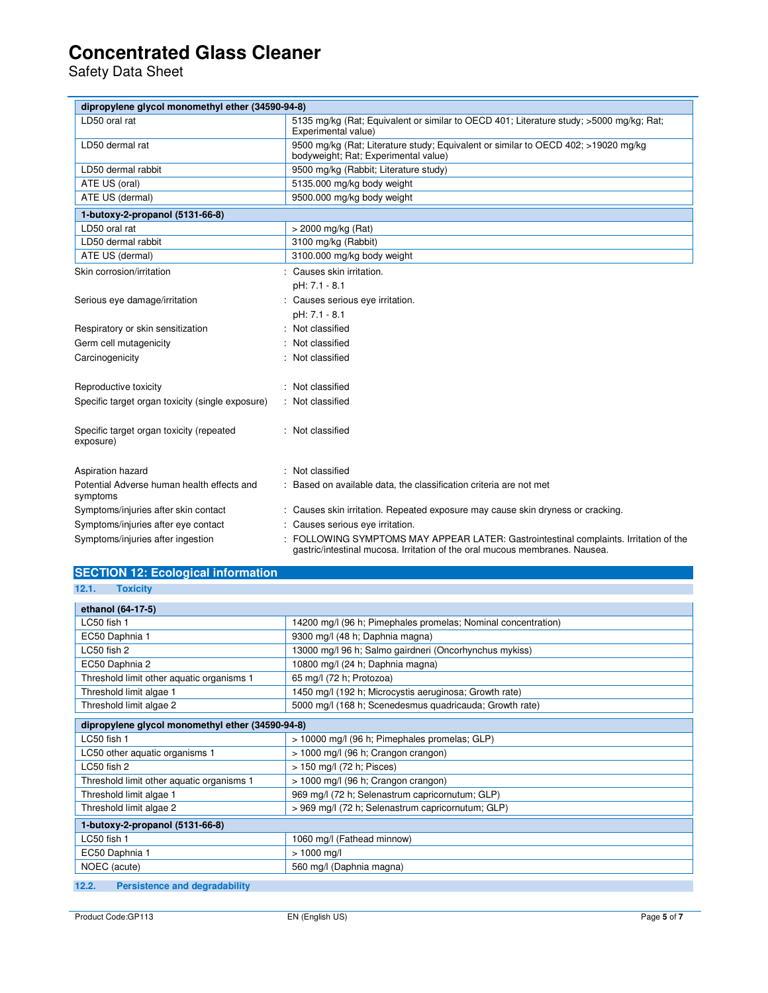Safety Data Sheet

| dipropylene glycol monomethyl ether (34590-94-8)       |                                                                                                                                                                      |  |
|--------------------------------------------------------|----------------------------------------------------------------------------------------------------------------------------------------------------------------------|--|
| LD50 oral rat                                          | 5135 mg/kg (Rat: Equivalent or similar to OECD 401; Literature study: >5000 mg/kg; Rat:<br>Experimental value)                                                       |  |
| LD50 dermal rat                                        | 9500 mg/kg (Rat; Literature study; Equivalent or similar to OECD 402; >19020 mg/kg<br>bodyweight; Rat; Experimental value)                                           |  |
| LD50 dermal rabbit                                     | 9500 mg/kg (Rabbit; Literature study)                                                                                                                                |  |
| ATE US (oral)                                          | 5135.000 mg/kg body weight                                                                                                                                           |  |
| ATE US (dermal)                                        | 9500.000 mg/kg body weight                                                                                                                                           |  |
| 1-butoxy-2-propanol (5131-66-8)                        |                                                                                                                                                                      |  |
| LD50 oral rat                                          | > 2000 mg/kg (Rat)                                                                                                                                                   |  |
| LD50 dermal rabbit                                     | 3100 mg/kg (Rabbit)                                                                                                                                                  |  |
| ATE US (dermal)                                        | 3100.000 mg/kg body weight                                                                                                                                           |  |
| Skin corrosion/irritation                              | : Causes skin irritation.                                                                                                                                            |  |
|                                                        | pH: 7.1 - 8.1                                                                                                                                                        |  |
| Serious eye damage/irritation                          | : Causes serious eye irritation.                                                                                                                                     |  |
|                                                        | pH: 7.1 - 8.1                                                                                                                                                        |  |
| Respiratory or skin sensitization                      | Not classified                                                                                                                                                       |  |
| Germ cell mutagenicity                                 | Not classified                                                                                                                                                       |  |
| Carcinogenicity                                        | : Not classified                                                                                                                                                     |  |
| Reproductive toxicity                                  | : Not classified                                                                                                                                                     |  |
| Specific target organ toxicity (single exposure)       | : Not classified                                                                                                                                                     |  |
| Specific target organ toxicity (repeated<br>exposure)  | : Not classified                                                                                                                                                     |  |
| Aspiration hazard                                      | : Not classified                                                                                                                                                     |  |
| Potential Adverse human health effects and<br>symptoms | : Based on available data, the classification criteria are not met                                                                                                   |  |
| Symptoms/injuries after skin contact                   | : Causes skin irritation. Repeated exposure may cause skin dryness or cracking.                                                                                      |  |
| Symptoms/injuries after eye contact                    | : Causes serious eye irritation.                                                                                                                                     |  |
| Symptoms/injuries after ingestion                      | : FOLLOWING SYMPTOMS MAY APPEAR LATER: Gastrointestinal complaints. Irritation of the<br>gastric/intestinal mucosa. Irritation of the oral mucous membranes. Nausea. |  |

## **SECTION 12: Ecological information**

**12.1. Toxicity** 

| ethanol (64-17-5)                                |                                                               |  |
|--------------------------------------------------|---------------------------------------------------------------|--|
| LC50 fish 1                                      | 14200 mg/l (96 h; Pimephales promelas; Nominal concentration) |  |
| EC50 Daphnia 1                                   | 9300 mg/l (48 h; Daphnia magna)                               |  |
| LC50 fish 2                                      | 13000 mg/l 96 h; Salmo gairdneri (Oncorhynchus mykiss)        |  |
| EC50 Daphnia 2                                   | 10800 mg/l (24 h; Daphnia magna)                              |  |
| Threshold limit other aquatic organisms 1        | 65 mg/l (72 h; Protozoa)                                      |  |
| Threshold limit algae 1                          | 1450 mg/l (192 h; Microcystis aeruginosa; Growth rate)        |  |
| Threshold limit algae 2                          | 5000 mg/l (168 h; Scenedesmus quadricauda; Growth rate)       |  |
| dipropylene glycol monomethyl ether (34590-94-8) |                                                               |  |
| LC50 fish 1                                      | > 10000 mg/l (96 h; Pimephales promelas; GLP)                 |  |
| LC50 other aquatic organisms 1                   | > 1000 mg/l (96 h; Crangon crangon)                           |  |
| LC50 fish 2                                      | > 150 mg/l (72 h; Pisces)                                     |  |
| Threshold limit other aquatic organisms 1        | > 1000 mg/l (96 h; Crangon crangon)                           |  |
| Threshold limit algae 1                          | 969 mg/l (72 h; Selenastrum capricornutum; GLP)               |  |
| Threshold limit algae 2                          | > 969 mg/l (72 h; Selenastrum capricornutum; GLP)             |  |
| 1-butoxy-2-propanol (5131-66-8)                  |                                                               |  |
| LC50 fish 1                                      | 1060 mg/l (Fathead minnow)                                    |  |
| EC50 Daphnia 1                                   | $> 1000$ mg/l                                                 |  |
| NOEC (acute)                                     | 560 mg/l (Daphnia magna)                                      |  |
| 100<br>Dovojatoneg and dogvadability             |                                                               |  |

**12.2. Persistence and degradability**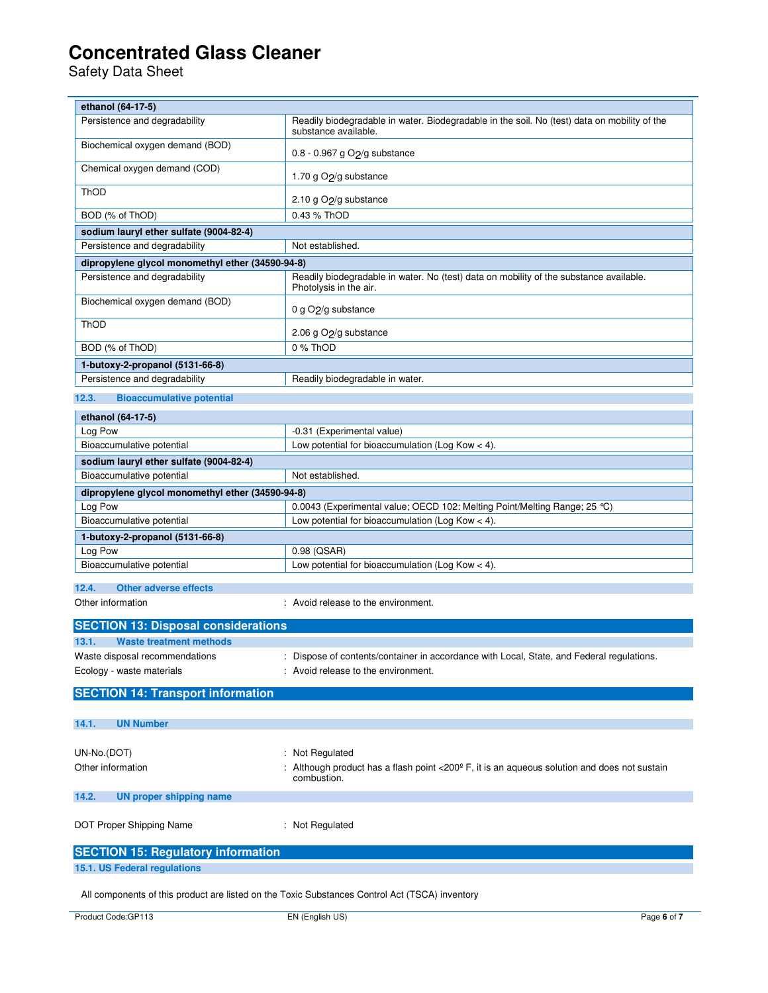Safety Data Sheet

| ethanol (64-17-5)                                |                                                                                                                      |  |
|--------------------------------------------------|----------------------------------------------------------------------------------------------------------------------|--|
| Persistence and degradability                    | Readily biodegradable in water. Biodegradable in the soil. No (test) data on mobility of the<br>substance available. |  |
| Biochemical oxygen demand (BOD)                  | 0.8 - 0.967 g O <sub>2</sub> /g substance                                                                            |  |
| Chemical oxygen demand (COD)                     | 1.70 g O <sub>2</sub> /g substance                                                                                   |  |
| ThOD                                             | 2.10 g O <sub>2</sub> /g substance                                                                                   |  |
| BOD (% of ThOD)                                  | 0.43 % ThOD                                                                                                          |  |
| sodium lauryl ether sulfate (9004-82-4)          |                                                                                                                      |  |
| Persistence and degradability                    | Not established.                                                                                                     |  |
| dipropylene glycol monomethyl ether (34590-94-8) |                                                                                                                      |  |
| Persistence and degradability                    | Readily biodegradable in water. No (test) data on mobility of the substance available.<br>Photolysis in the air.     |  |
| Biochemical oxygen demand (BOD)                  | 0 g O <sub>2</sub> /g substance                                                                                      |  |
| ThOD                                             | 2.06 g O <sub>2</sub> /g substance                                                                                   |  |
| BOD (% of ThOD)                                  | 0 % ThOD                                                                                                             |  |
| 1-butoxy-2-propanol (5131-66-8)                  |                                                                                                                      |  |
| Persistence and degradability                    | Readily biodegradable in water.                                                                                      |  |
| 12.3.<br><b>Bioaccumulative potential</b>        |                                                                                                                      |  |
| ethanol (64-17-5)                                |                                                                                                                      |  |
| Log Pow                                          | -0.31 (Experimental value)                                                                                           |  |
| Bioaccumulative potential                        | Low potential for bioaccumulation (Log Kow $<$ 4).                                                                   |  |
| sodium lauryl ether sulfate (9004-82-4)          |                                                                                                                      |  |
| Bioaccumulative potential                        | Not established.                                                                                                     |  |
| dipropylene glycol monomethyl ether (34590-94-8) |                                                                                                                      |  |
| Log Pow                                          | 0.0043 (Experimental value; OECD 102: Melting Point/Melting Range; 25 °C)                                            |  |
| Bioaccumulative potential                        | Low potential for bioaccumulation (Log Kow < 4).                                                                     |  |
| 1-butoxy-2-propanol (5131-66-8)                  |                                                                                                                      |  |
| Log Pow                                          | 0.98 (QSAR)                                                                                                          |  |
| Bioaccumulative potential                        | Low potential for bioaccumulation (Log Kow $<$ 4).                                                                   |  |
|                                                  |                                                                                                                      |  |
| 12.4.<br><b>Other adverse effects</b>            |                                                                                                                      |  |
| Other information                                | : Avoid release to the environment.                                                                                  |  |
| <b>SECTION 13: Disposal considerations</b>       |                                                                                                                      |  |
| 13.1.<br><b>Waste treatment methods</b>          |                                                                                                                      |  |
| Waste disposal recommendations                   | Dispose of contents/container in accordance with Local, State, and Federal regulations.                              |  |
| Ecology - waste materials                        | : Avoid release to the environment.                                                                                  |  |
| <b>SECTION 14: Transport information</b>         |                                                                                                                      |  |
| 14.1.<br><b>UN Number</b>                        |                                                                                                                      |  |
|                                                  |                                                                                                                      |  |
| UN-No.(DOT)                                      | : Not Regulated                                                                                                      |  |
| Other information                                | Although product has a flash point <200° F, it is an aqueous solution and does not sustain<br>combustion.            |  |
| 14.2.<br><b>UN proper shipping name</b>          |                                                                                                                      |  |
| DOT Proper Shipping Name                         | : Not Regulated                                                                                                      |  |
| <b>SECTION 15: Regulatory information</b>        |                                                                                                                      |  |
| 15.1. US Federal regulations                     |                                                                                                                      |  |
|                                                  |                                                                                                                      |  |

All components of this product are listed on the Toxic Substances Control Act (TSCA) inventory